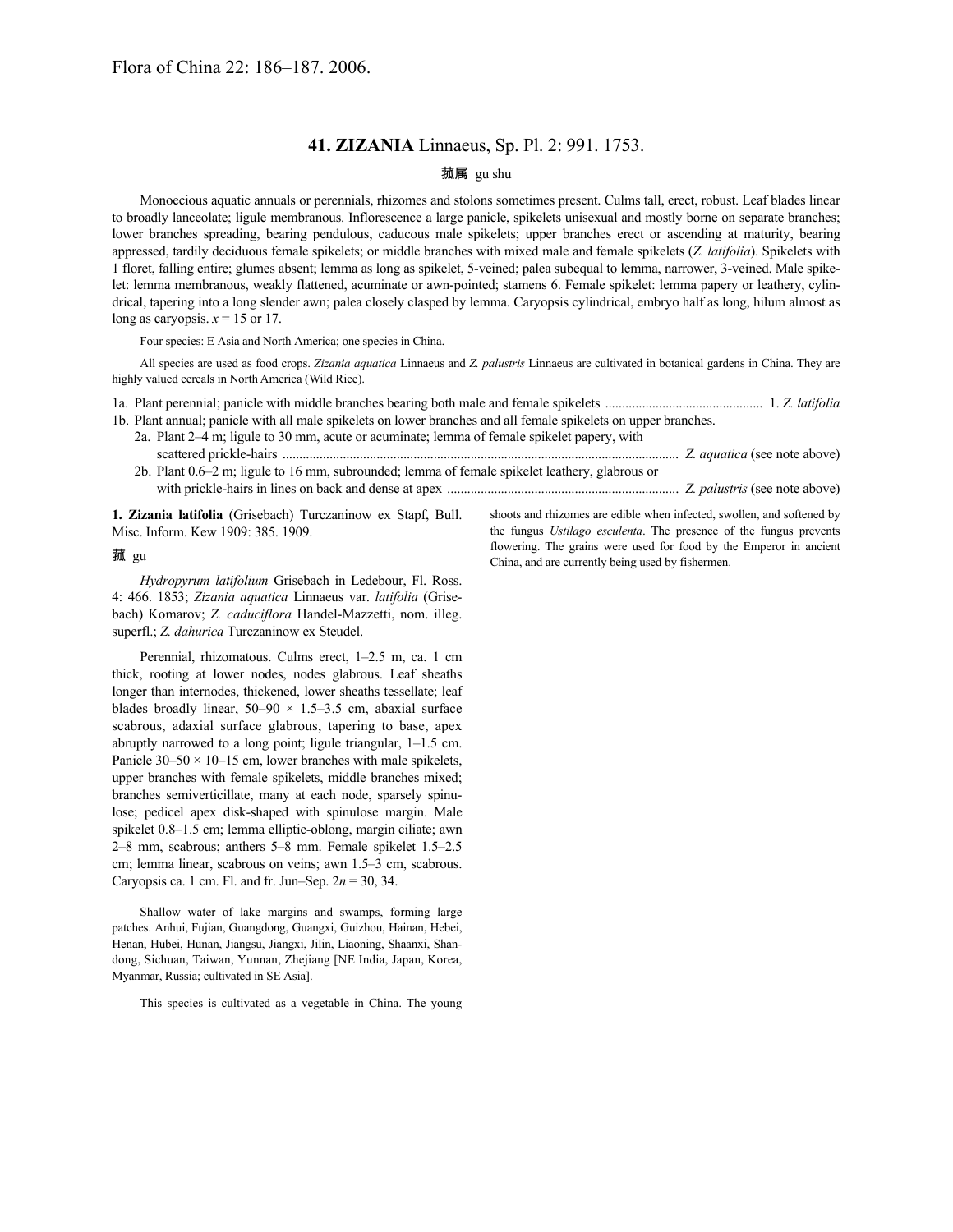## **41. ZIZANIA** Linnaeus, Sp. Pl. 2: 991. 1753.

## 菰属 gu shu

Monoecious aquatic annuals or perennials, rhizomes and stolons sometimes present. Culms tall, erect, robust. Leaf blades linear to broadly lanceolate; ligule membranous. Inflorescence a large panicle, spikelets unisexual and mostly borne on separate branches; lower branches spreading, bearing pendulous, caducous male spikelets; upper branches erect or ascending at maturity, bearing appressed, tardily deciduous female spikelets; or middle branches with mixed male and female spikelets (*Z. latifolia*). Spikelets with 1 floret, falling entire; glumes absent; lemma as long as spikelet, 5-veined; palea subequal to lemma, narrower, 3-veined. Male spikelet: lemma membranous, weakly flattened, acuminate or awn-pointed; stamens 6. Female spikelet: lemma papery or leathery, cylindrical, tapering into a long slender awn; palea closely clasped by lemma. Caryopsis cylindrical, embryo half as long, hilum almost as long as caryopsis.  $x = 15$  or 17.

Four species: E Asia and North America; one species in China.

All species are used as food crops. *Zizania aquatica* Linnaeus and *Z. palustris* Linnaeus are cultivated in botanical gardens in China. They are highly valued cereals in North America (Wild Rice).

1a. Plant perennial; panicle with middle branches bearing both male and female spikelets ............................................... 1. *Z. latifolia* 1b. Plant annual; panicle with all male spikelets on lower branches and all female spikelets on upper branches.

| 2a. Plant 2–4 m; ligule to 30 mm, acute or acuminate; lemma of female spikelet papery, with    |  |
|------------------------------------------------------------------------------------------------|--|
|                                                                                                |  |
| 2b. Plant 0.6–2 m; ligule to 16 mm, subrounded; lemma of female spikelet leathery, glabrous or |  |
|                                                                                                |  |

**1. Zizania latifolia** (Grisebach) Turczaninow ex Stapf, Bull. Misc. Inform. Kew 1909: 385. 1909.

shoots and rhizomes are edible when infected, swollen, and softened by the fungus *Ustilago esculenta*. The presence of the fungus prevents flowering. The grains were used for food by the Emperor in ancient China, and are currently being used by fishermen.

菰 gu

*Hydropyrum latifolium* Grisebach in Ledebour, Fl. Ross. 4: 466. 1853; *Zizania aquatica* Linnaeus var. *latifolia* (Grisebach) Komarov; *Z. caduciflora* Handel-Mazzetti, nom. illeg. superfl.; *Z. dahurica* Turczaninow ex Steudel.

Perennial, rhizomatous. Culms erect, 1–2.5 m, ca. 1 cm thick, rooting at lower nodes, nodes glabrous. Leaf sheaths longer than internodes, thickened, lower sheaths tessellate; leaf blades broadly linear,  $50-90 \times 1.5-3.5$  cm, abaxial surface scabrous, adaxial surface glabrous, tapering to base, apex abruptly narrowed to a long point; ligule triangular, 1–1.5 cm. Panicle  $30-50 \times 10-15$  cm, lower branches with male spikelets, upper branches with female spikelets, middle branches mixed; branches semiverticillate, many at each node, sparsely spinulose; pedicel apex disk-shaped with spinulose margin. Male spikelet 0.8–1.5 cm; lemma elliptic-oblong, margin ciliate; awn 2–8 mm, scabrous; anthers 5–8 mm. Female spikelet 1.5–2.5 cm; lemma linear, scabrous on veins; awn 1.5–3 cm, scabrous. Caryopsis ca. 1 cm. Fl. and fr. Jun–Sep.  $2n = 30, 34$ .

Shallow water of lake margins and swamps, forming large patches. Anhui, Fujian, Guangdong, Guangxi, Guizhou, Hainan, Hebei, Henan, Hubei, Hunan, Jiangsu, Jiangxi, Jilin, Liaoning, Shaanxi, Shandong, Sichuan, Taiwan, Yunnan, Zhejiang [NE India, Japan, Korea, Myanmar, Russia; cultivated in SE Asia].

This species is cultivated as a vegetable in China. The young